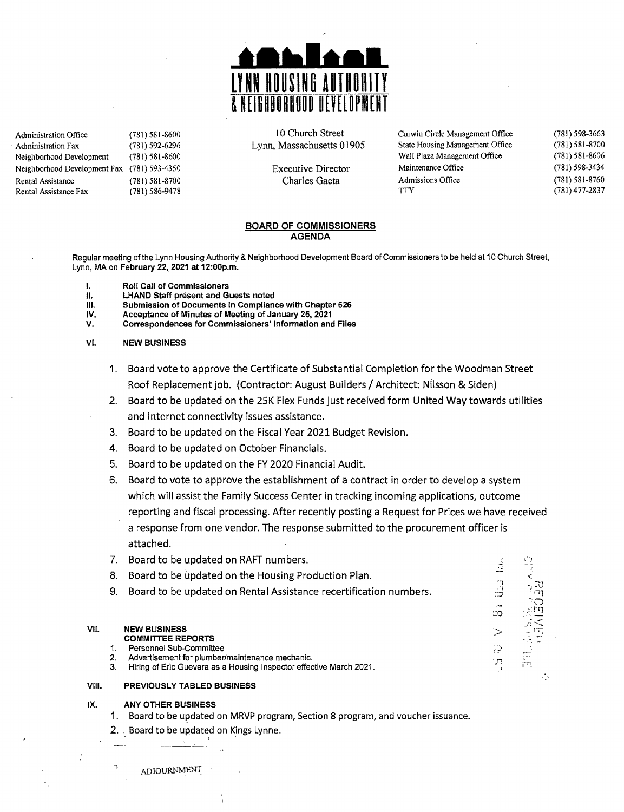

Administration Fax (781) 592-6296 Lynn, Massachusetts 01905 State Housing Management Office<br>Neighborhood Development (781) 581-8600 Neighborhood Development (781) 581-8600<br>
Neighborhood Development Fax (781) 593-4350 Wall Plaza Management Pax (781) 593-4350 Wall Plaza Management Office Neighborhood Development Fax (781) 593-4350 Executive Director Maintenance Office<br>Rental Assistance (781) 581-8700 Charles Gaeta Admissions Office Rental Assistanee (781) 581-8700 Charles Gaeta Admissions Office Rental Assistance Fax (781) 586-9478 Try

Administration Office (781) 581-8600<br>
Administration Fax (781) 592-6296 Lynn, Massachusetts 01905 State Housing Management Office

(781) 598-3663 (781) 581-8700 (781) 581-8606 (781) 598-3434 (781) 581-8760 (78J) 477-2837

"." . {

 $\frac{1}{2}$ 

~<br>¤:

 $\overline{\mathcal{P}}$ 

 $\circ$ 

ζ.

#### BOARD OF COMMISSIONERS AGENDA

Regular meeting of the Lynn Housing Authority & Neighborhood Development Board of Commissioners to be held at 10 Church Street, Lynn, MA on February 22, 2021 at 12:00p.m.

- I. Roll Call of Commissioners<br>II. LHAND Staff present and G
- 11. LHAND Staff present and Guests noted<br>111. Submission of Documents in Complian
- III. Submission of Documents in Compliance with Chapter 626<br>IV. Acceptance of Minutes of Meeting of January 25, 2021
- IV. Acceptance of Minutes of Meeting of January 25, 2021
- Correspondences for Commissioners' Information and Files
- VI. NEW BUSINESS
	- 1. Board vote to approve the Certificate of Substantial Completion for the Woodman Street Roof Replacement job. (Contractor: August Builders / Architect: Nilsson & Siden)
	- 2. Board to be updated on the 25K Flex Funds just received form United Way towards utilities and Internet connectivity issues assistance.
	- 3. Board to be updated on the Fiscal Year 2021 Budget Revision.
	- 4. Board to be updated on October Financials.
	- 5. Board to be updated on the FY 2020 Financial Audit.
	- 6. Board to vote to approve the establishment of a contract in order to develop a system which will assist the Family Success Center in tracking incoming applications, outcome reporting and fiscal processing. After recently posting a Request for Prices we have received a response from one vendor. The response submitted to the procurement officer is attached.
	- 7. Board to be updated on RAFT numbers.
	- 8. Board to be updated on the Housing Production Plan.
	- 9. Board to be updated on Rental Assistance recertification numbers.

- VII. NEW BUSINESS<br>
COMMITTEE REPORTS<br>
1. Personnel Sub-Committee Personnel Sub-Committee
	- 2. Advertisement for plumber/maintenance mechanic.
	- Hiring of Eric Guevara as a Housing Inspector effective March 2021.

### VIII. PREVIOUSLY TABLED BUSINESS

#### IX. ANY OTHER BUSINESS

- 1. Board to be updated on MHVP program, Section 8 program, and voucher issuance.
- 2. " Board to be updated on Kings Lynne. Board to be updated on MRV<br>Board to be updated on King

ADJOURNMENT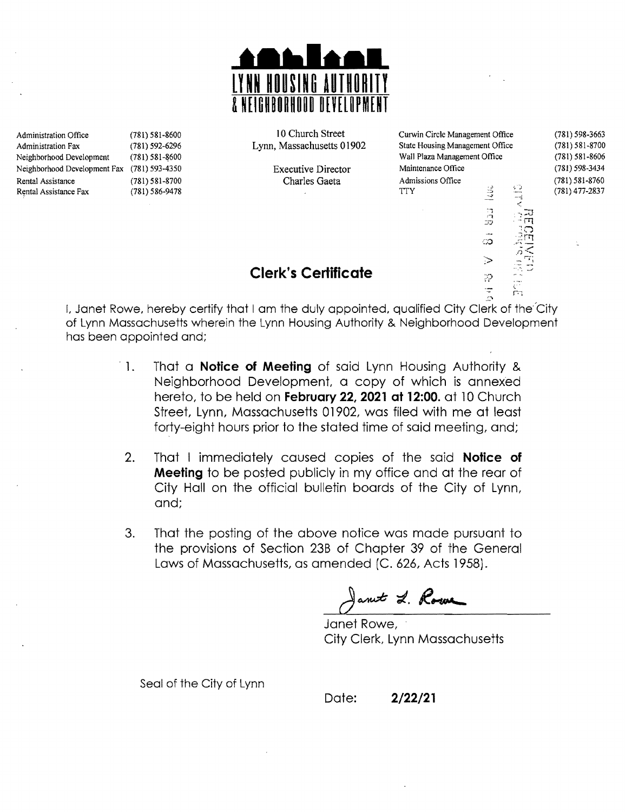

#### Administration Office (781) 581-8600 10 Church Street Curwin Circle Management Office (781) 598-3663<br>Administration Fax (781) 592-6296 Lynn, Massachusetts 01902 State Housing Management Office (781) 581-8700 Administration Fax (781) 592-6296 Lynn, Massachusetts 01902 State Housing Management Office (781) 581-8700 Neighborhood Development (781) 581-8606<br>Neighborhood Development Fax (781) 593-4350 Wall Plaza Management Office (781) 593-3434<br>Neighborhood Development Fax (781) 593-4350 Fxecutive Director Maintenance Office (781) 598-34 Neighborhood Development Fax (781) 593-4350 Executive Director Maintenance Office (781) 598-3434<br>Rental Assistance (781) 581-8700 Charles Gaeta Admissions Office (781) 581-8760 Rental Assistance (781) 581-8700 Charles Gaeta Admissions Office (781) 581-8760 Rental Assistance Fax (781) 586-9478 (781) 686-9478 TIY (781) 477-2837 n<br>B  $\tau$  $\mathbb{C}^*$ ္တ  $\mathbb{R}^n$  $\frac{1}{2}$

 $\geq$ 

 $\frac{1}{2}$ 

*f)* ....,

 $C^{\pm}$ 

## --": \_.J **Clerk's Certificate**

I, Janet Rowe, hereby certify that I am the duly appointed, qualified City Clerk of the"City of Lynn Massachusetts wherein the Lynn Housing Authority & Neighborhood Development has been appointed and;

- 1. That a **Notice of Meeting** of said Lynn Housing Authority & Neighborhood Development, a copy of which is annexed hereto, to be held on **February 22, 2021 at 12:00.** at 10 Church street, Lynn, Massachusetts 01902, was filed with me at least forty-eight hours prior to the stated time of said meeting, and;
- 2. That I immediately caused copies of the said **Notice of Meeting** to be posted publicly in my office and at the rear of City Hall on the official bulletin boards of the City of Lynn, and;
- 3. That the posting of the above notice was made pursuant to the provisions of Section 23B of Chapter 39 of the General Laws of Massachusetts, as amended (C. 626, Acts 1958).

ant L. Rowe

Janet Rowe, City Clerk, Lynn Massachusetts

Seal of the City of Lynn

Date: **2/22/21**